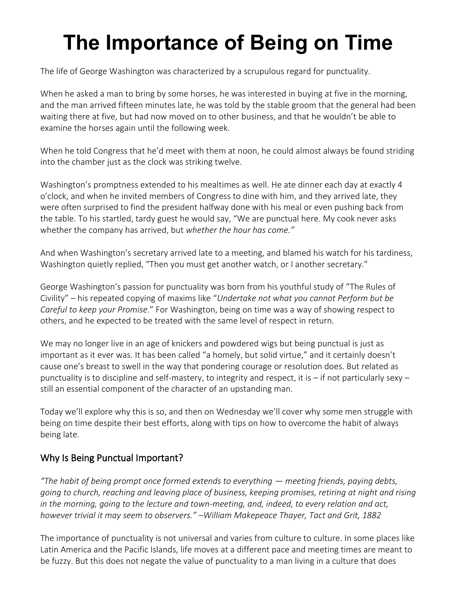# **The Importance of Being on Time**

The life of George Washington was characterized by a scrupulous regard for punctuality.

When he asked a man to bring by some horses, he was interested in buying at five in the morning, and the man arrived fifteen minutes late, he was told by the stable groom that the general had been waiting there at five, but had now moved on to other business, and that he wouldn't be able to examine the horses again until the following week.

When he told Congress that he'd meet with them at noon, he could almost always be found striding into the chamber just as the clock was striking twelve.

Washington's promptness extended to his mealtimes as well. He ate dinner each day at exactly 4 o'clock, and when he invited members of Congress to dine with him, and they arrived late, they were often surprised to find the president halfway done with his meal or even pushing back from the table. To his startled, tardy guest he would say, "We are punctual here. My cook never asks whether the company has arrived, but *whether the hour has come."*

And when Washington's secretary arrived late to a meeting, and blamed his watch for his tardiness, Washington quietly replied, "Then you must get another watch, or I another secretary."

George Washington's passion for punctuality was born from his youthful study of "[The Rules of](https://www.artofmanliness.com/articles/manvotional-george-washingtons-rules-of-civility-and-decent-behavior-in-company-and-converation/)  [Civility](https://www.artofmanliness.com/articles/manvotional-george-washingtons-rules-of-civility-and-decent-behavior-in-company-and-converation/)" – his repeated copying of maxims like "*Undertake not what you cannot Perform but be Careful to keep your Promise*." For Washington, being on time was a way of showing respect to others, and he expected to be treated with the same level of respect in return.

We may no longer live in an age of knickers and powdered wigs but being punctual is just as important as it ever was. It has been called "a homely, but solid virtue," and it certainly doesn't cause one's breast to swell in the way that pondering courage or resolution does. But related as punctuality is to discipline and self-mastery, to integrity and respect, it is  $-$  if not particularly sexy  $$ still an essential component of the character of an upstanding man.

Today we'll explore why this is so, and then on Wednesday we'll cover why some men struggle with being on time despite their best efforts, along with tips on how to overcome the habit of always being late.

#### Why Is Being Punctual Important?

*"The habit of being prompt once formed extends to everything — meeting friends, paying debts, going to church, reaching and leaving place of business, keeping promises, retiring at night and rising in the morning, going to the lecture and town-meeting, and, indeed, to every relation and act, however trivial it may seem to observers." –William Makepeace Thayer, Tact and Grit, 1882*

The importance of punctuality is not universal and varies from culture to culture. In some places like Latin America and the Pacific Islands, life moves at a different pace and meeting times are meant to be fuzzy. But this does not negate the value of punctuality to a man living in a culture that does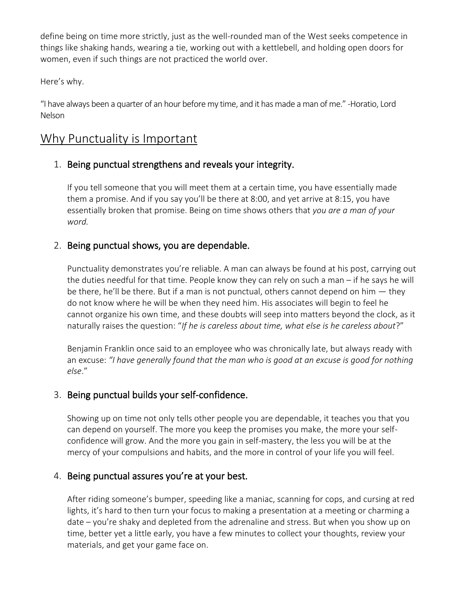define being on time more strictly, just as the well-rounded man of the West seeks competence in things like [shaking hands,](https://www.artofmanliness.com/articles/manly-handshake/) [wearing a tie,](https://www.artofmanliness.com/articles/cravatology-101-and-the-mountain-and-sackett-authentic-regimental-tie-giveaway/) [working out with a kettlebell,](https://www.artofmanliness.com/articles/become-strong-like-bull-the-kettlebell-workout/) and [holding open doors](https://www.artofmanliness.com/articles/opening-door-for-woman/) for women, even if such things are not practiced the world over.

Here's why.

"I have always been a quarter of an hour before my time, and it has made a man of me." -Horatio, Lord Nelson

### Why Punctuality is Important

#### 1. Being punctual strengthens and reveals your [integrity.](https://www.artofmanliness.com/articles/what-strengthens-and-weakens-our-integrity-part-i-why-small-choices-count/)

If you tell someone that you will meet them at a certain time, you have essentially made them a promise. And if you say you'll be there at 8:00, and yet arrive at 8:15, you have essentially broken that promise. Being on time shows others that *you are a man of your word.*

#### 2. Being punctual shows, you are dependable.

Punctuality demonstrates you're reliable. A man can always be found at his post, carrying out the duties needful for that time. People know they can [rely on such a man](https://www.artofmanliness.com/character/advice/heading-out-on-your-own-day-26-15-maxims-for-being-a-reliable-man/) – if he says he will be there, he'll be there. But if a man is not punctual, others cannot depend on him  $-$  they do not know where he will be when they need him. His associates will begin to feel he cannot organize his own time, and these doubts will seep into matters beyond the clock, as it naturally raises the question: "*If he is careless about time, what else is he careless about*?"

Benjamin Franklin once said to an employee who was chronically late, but always ready with an excuse: *"I have generally found that the man who is good at an excuse is good for nothing else*."

#### 3. Being punctual [builds your self-confidence.](https://www.artofmanliness.com/articles/how-to-forge-true-confidence/)

Showing up on time not only tells other people you are dependable, it teaches you that you can depend on yourself. The more you keep the promises you make, the more your selfconfidence will grow. And the more you gain in self-mastery, the less you will be at the mercy of your compulsions and habits, and the more in control of your life you will feel.

#### 4. Being punctual assures you're at your best.

After riding someone's bumper, speeding like a maniac, scanning for cops, and cursing at red lights, it's hard to then turn your focus to making a presentation at a meeting or charming a date – you're shaky and depleted from the adrenaline and stress. But when you show up on time, better yet a little early, you have a few minutes to collect your thoughts, review your materials, and get your game face on.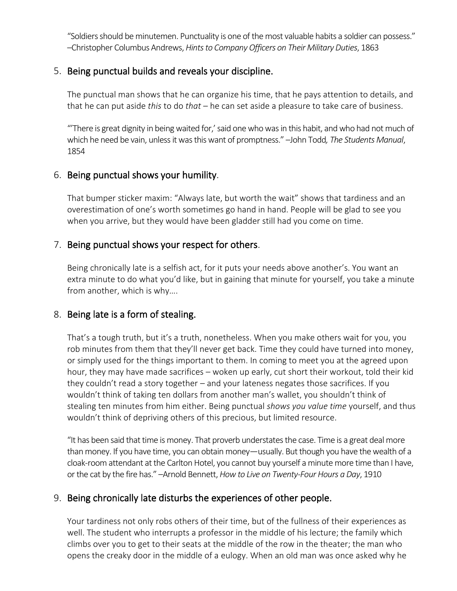"Soldiers should be minutemen. Punctuality is one of the most valuable habits a soldier can possess." –Christopher Columbus Andrews, *Hints to Company Officers on Their Military Duties*, 1863

#### 5. Being punctual builds and reveals your [discipline.](https://www.artofmanliness.com/character/behavior/podcast-124-self-discipline-personal-effectiveness-with-rory-vaden/)

The punctual man shows that he can organize his time, that he pays attention to details, and that he can put aside *this* to do *that* – he can set aside a pleasure to take care of business.

"'There is great dignity in being waited for,' said one who was in this habit, and who had not much of which he need be vain, unless it was this want of promptness." –John Todd*, The Students Manual*, 1854

#### 6. Being punctual shows your [humility.](https://www.artofmanliness.com/character/behavior/the-virtuous-life-humility/)

That bumper sticker maxim: "Always late, but worth the wait" shows that tardiness and an overestimation of one's worth sometimes go hand in hand. People will be glad to see you when you arrive, but they would have been gladder still had you come on time.

#### 7. Being punctual shows your respect for others.

Being chronically late is a selfish act, for it puts your needs above another's. You want an extra minute to do what you'd like, but in gaining that minute for yourself, you take a minute from another, which is why….

#### 8. Being late is a form of stealing.

That's a tough truth, but it's a truth, nonetheless. When you make others wait for you, you rob minutes from them that they'll never get back. Time they could have turned into money, or simply used for the things important to them. In coming to meet you at the agreed upon hour, they may have made sacrifices – woken up early, cut short their workout, told their kid they couldn't read a story together – and your lateness negates those sacrifices. If you wouldn't think of taking ten dollars from another man's wallet, you shouldn't think of stealing ten minutes from him either. Being punctual *shows you value time* yourself, and thus wouldn't think of depriving others of this precious, but limited resource.

"It has been said that time is money. That proverb understates the case. Time is a great deal more than money. If you have time, you can obtain money—usually. But though you have the wealth of a cloak-room attendant at the Carlton Hotel, you cannot buy yourself a minute more time than I have, or the cat by the fire has." –Arnold Bennett, *How to Live on Twenty-Four Hours a Day*, 1910

#### 9. Being chronically late disturbs the experiences of other people.

Your tardiness not only robs others of their time, but of the fullness of their experiences as well. The student who interrupts a professor in the middle of his lecture; the family which climbs over you to get to their seats at the middle of the row in the theater; the man who opens the creaky door in the middle of a eulogy. When an old man was once asked why he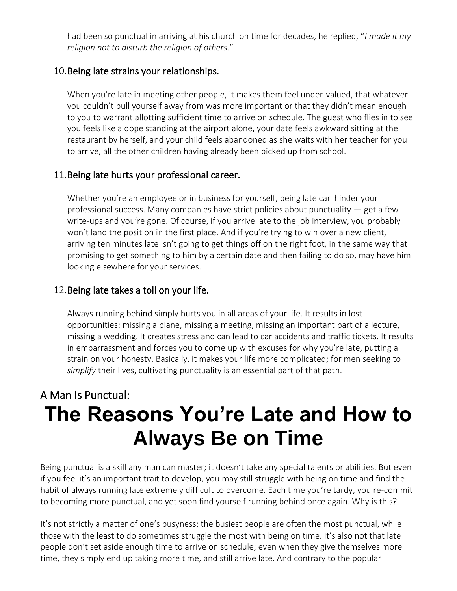had been so punctual in arriving at his church on time for decades, he replied, "*I made it my religion not to disturb the religion of others*."

#### 10.Being late strains your relationships.

When you're late in meeting other people, it makes them feel under-valued, that whatever you couldn't pull yourself away from was more important or that they didn't mean enough to you to warrant allotting sufficient time to arrive on schedule. The guest who flies in to see you feels like a dope standing at the airport alone, your date feels awkward sitting at the restaurant by herself, and your child feels abandoned as she waits with her teacher for you to arrive, all the other children having already been picked up from school.

#### 11.Being late hurts your professional [career.](https://www.artofmanliness.com/career-wealth/career/)

Whether you're an employee or in business for yourself, being late can hinder your professional success. Many companies have strict policies about punctuality — get a few write-ups and you're gone. Of course, if you arrive late to the job interview, you probably won't land the position in the first place. And if you're trying to win over a new client, arriving ten minutes late isn't going to get things off on the right foot, in the same way that promising to get something to him by a certain date and then failing to do so, may have him looking elsewhere for your services.

#### 12.Being late takes a toll on your life.

Always running behind simply hurts you in all areas of your life. It results in lost opportunities: missing a plane, missing a meeting, missing an important part of a lecture, missing a wedding. It creates stress and can lead to car accidents and traffic tickets. It results in embarrassment and forces you to come up with excuses for why you're late, putting a strain on your honesty. Basically, it makes your life more complicated; for men seeking to *simplify* [their lives,](https://www.artofmanliness.com/articles/minimalism-begets-manliness/) cultivating punctuality is an essential part of that path.

## A Man Is Punctual: **The Reasons You're Late and How to Always Be on Time**

Being punctual is a skill any man can master; it doesn't take any special talents or abilities. But even if you feel [it's an important trait to develop](https://www.artofmanliness.com/articles/importance-of-punctuality/), you may still struggle with being on time and find the habit of always running late extremely difficult to overcome. Each time you're tardy, you re-commit to becoming more punctual, and yet soon find yourself running behind once again. Why is this?

It's not strictly a matter of one's busyness; the busiest people are often the most punctual, while those with the least to do sometimes struggle the most with being on time. It's also not that late people don't set aside enough time to arrive on schedule; even when they give themselves more time, they simply end up taking more time, and still arrive late. And contrary to the popular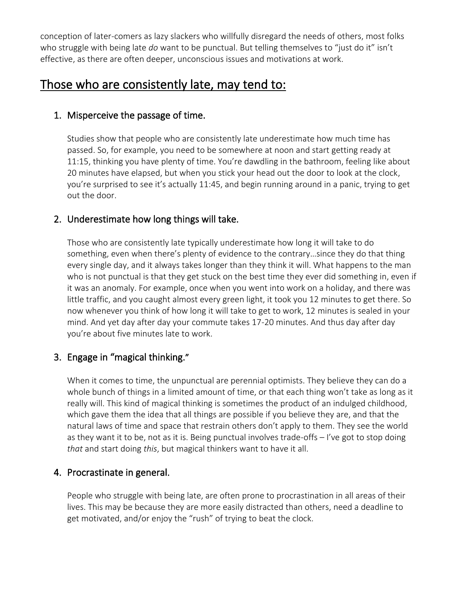conception of later-comers as lazy slackers who willfully disregard the needs of others, most folks who struggle with being late *do* want to be punctual. But telling themselves to "just do it" isn't effective, as there are often deeper, unconscious issues and motivations at work.

## Those who are consistently late, may tend to:

#### 1. Misperceive the passage of time.

Studies show that people who are consistently late underestimate how much time has passed. So, for example, you need to be somewhere at noon and start getting ready at 11:15, thinking you have plenty of time. You're dawdling in the bathroom, feeling like about 20 minutes have elapsed, but when you stick your head out the door to look at the clock, you're surprised to see it's actually 11:45, and begin running around in a panic, trying to get out the door.

#### 2. Underestimate how long things will take.

Those who are consistently late typically underestimate how long it will take to do something, even when there's plenty of evidence to the contrary…since they do that thing every single day, and it always takes longer than they think it will. What happens to the man who is not punctual is that they get stuck on the best time they ever did something in, even if it was an anomaly. For example, once when you went into work on a holiday, and there was little traffic, and you caught almost every green light, it took you 12 minutes to get there. So now whenever you think of how long it will take to get to work, 12 minutes is sealed in your mind. And yet day after day your commute takes 17-20 minutes. And thus day after day you're about five minutes late to work.

#### 3. Engage in "magical thinking."

When it comes to time, the unpunctual are perennial optimists. They believe they can do a whole bunch of things in a limited amount of time, or that each thing won't take as long as it really will. This kind of magical thinking is sometimes the product of an indulged childhood, which gave them the idea that all things are possible if you believe they are, and that the natural laws of time and space that restrain others don't apply to them. They see the world as they want it to be, not as it is. Being punctual involves trade-offs – I've got to stop doing *that* and start doing *this*, but magical thinkers want to have it all.

#### 4. Procrastinate in general.

People who struggle with being late, are often prone to procrastination in all areas of their lives. This may be because they are more easily distracted than others, need a deadline to get motivated, and/or enjoy the "rush" of trying to beat the clock.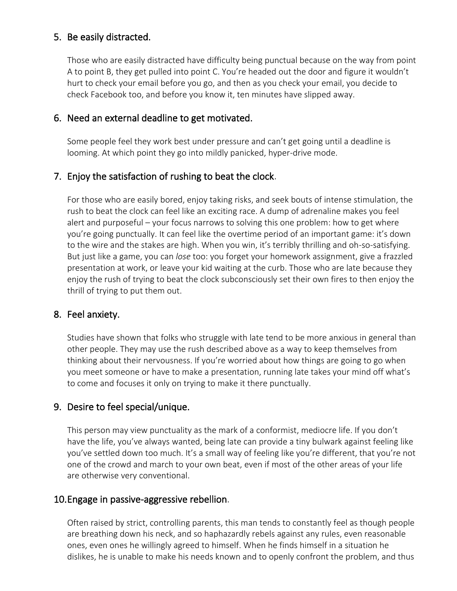#### 5. Be easily distracted.

Those who are easily distracted have difficulty being punctual because on the way from point A to point B, they get pulled into point C. You're headed out the door and figure it wouldn't hurt to check your email before you go, and then as you check your email, you decide to check Facebook too, and before you know it, ten minutes have slipped away.

#### 6. Need an external deadline to get motivated.

Some people feel they work best under pressure and can't get going until a deadline is looming. At which point they go into mildly panicked, hyper-drive mode.

#### 7. Enjoy the satisfaction of rushing to beat the clock.

For those who are easily bored, enjoy taking risks, and seek bouts of intense stimulation, the rush to beat the clock can feel like an exciting race. A dump of adrenaline makes you feel alert and purposeful – your focus narrows to solving this one problem: how to get where you're going punctually. It can feel like the overtime period of an important game: it's down to the wire and the stakes are high. When you win, it's terribly thrilling and oh-so-satisfying. But just like a game, you can *lose* too: you forget your homework assignment, give a frazzled presentation at work, or leave your kid waiting at the curb. Those who are late because they enjoy the rush of trying to beat the clock subconsciously set their own fires to then enjoy the thrill of trying to put them out.

#### 8. Feel anxiety.

Studies have shown that folks who struggle with late tend to be more anxious in general than other people. They may use the rush described above as a way to keep themselves from thinking about their nervousness. If you're worried about how things are going to go when you meet someone or have to make a presentation, running late takes your mind off what's to come and focuses it only on trying to make it there punctually.

#### 9. Desire to feel special/unique.

This person may view punctuality as the mark of a conformist, mediocre life. If you don't have the life, you've always wanted, being late can provide a tiny bulwark against feeling like you've settled down too much. It's a small way of feeling like you're different, that you're not one of the crowd and march to your own beat, even if most of the other areas of your life are otherwise very conventional.

#### 10.Engage in passive-aggressive rebellion.

Often raised by strict, controlling parents, this man tends to constantly feel as though people are breathing down his neck, and so haphazardly rebels against any rules, even reasonable ones, even ones he willingly agreed to himself. When he finds himself in a situation he dislikes, he is unable to make his needs known and to openly confront the problem, and thus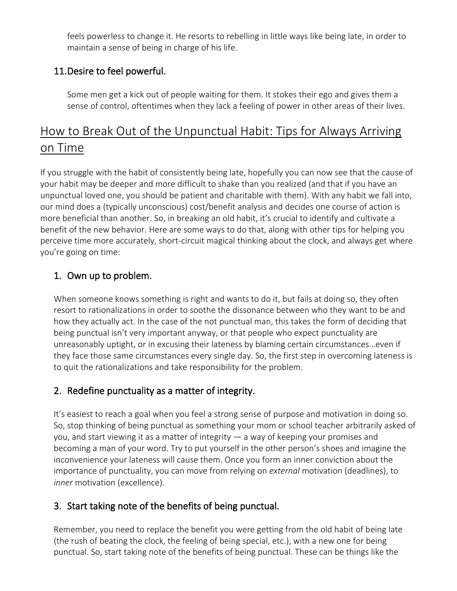feels powerless to change it. He resorts to rebelling in little ways like being late, in order to maintain a sense of being in charge of his life.

#### 11.Desire to feel powerful.

Some men get a kick out of people waiting for them. It stokes their ego and gives them a sense of control, oftentimes when they lack a feeling of power in other areas of their lives.

## How to Break Out of the Unpunctual Habit: Tips for Always Arriving on Time

If you struggle with the habit of consistently being late, hopefully you can now see that the cause of your habit may be deeper and more difficult to shake than you realized (and that if you have an unpunctual loved one, you should be patient and charitable with them). With any habit we fall into, our mind does a (typically unconscious) cost/benefit analysis and decides one course of action is more beneficial than another. So, in breaking an old habit, it's crucial to identify and cultivate a benefit of the new behavior. Here are some ways to do that, along with other tips for helping you perceive time more accurately, short-circuit magical thinking about the clock, and always get where you're going on time:

#### 1. Own up to problem.

When someone knows something is right and wants to do it, but fails at doing so, they often resort to rationalizations in order to soothe the dissonance between who they want to be and how they actually act. In the case of the not punctual man, this takes the form of deciding that being punctual isn't very important anyway, or that people who expect punctuality are unreasonably uptight, or in excusing their lateness by blaming certain circumstances…even if they face those same circumstances every single day. So, the first step in overcoming lateness is to quit the rationalizations and take responsibility for the problem.

#### 2. Redefine punctuality as a matter of integrity.

It's easiest to reach a goal when you feel a strong sense of purpose and motivation in doing so. So, stop thinking of being punctual as something your mom or school teacher arbitrarily asked of you, and start viewing it as a matter of integrity — a way of keeping your promises and becoming a man of your word. Try to put yourself in the other person's shoes and imagine the inconvenience your lateness will cause them. Once you form an inner conviction about the importance of punctuality, you can move from relying on *external* motivation (deadlines), to *inner* motivation (excellence).

#### 3. Start taking note of the benefits of being punctual.

Remember, you need to replace the benefit you were getting from the old habit of being late (the rush of beating the clock, the feeling of being special, etc.), with a new one for being punctual. So, start taking note of the benefits of being punctual. These can be things like the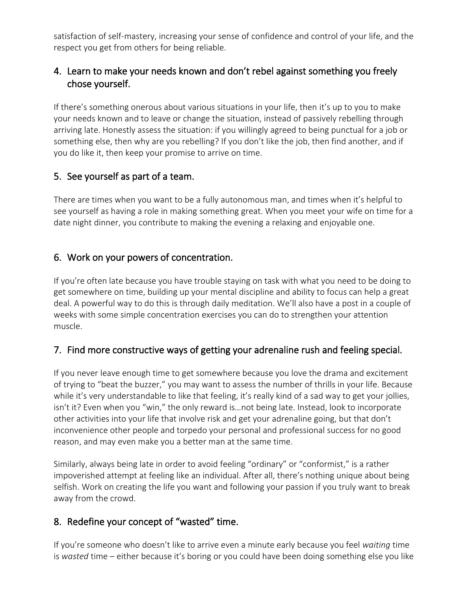satisfaction of self-mastery, increasing your sense of confidence and control of your life, and the respect you get from others for being reliable.

#### 4. Learn to make your needs known and don't rebel against something you freely chose yourself.

If there's something onerous about various situations in your life, then it's up to you to make your needs known and to leave or change the situation, instead of passively rebelling through arriving late. Honestly assess the situation: if you willingly agreed to being punctual for a job or something else, then why are you rebelling? If you don't like the job, then find another, and if you do like it, then keep your promise to arrive on time.

#### 5. See yourself as part of a team.

There are times when you want to be [a fully autonomous man](https://www.artofmanliness.com/articles/becoming-an-autonomous-man-in-an-other-directed-world/), and times when it's helpful to see yourself as having a role in making something great. When you meet your wife on time for a date night dinner, you contribute to making the evening a relaxing and enjoyable one.

#### 6. Work on your powers of concentration.

If you're often late because you have trouble staying on task with what you need to be doing to get somewhere on time, building up your mental discipline and ability to focus can help a great deal. A powerful way to do this is through [daily meditation](https://www.artofmanliness.com/articles/a-primer-on-meditation/). We'll also have a post in a couple of weeks with some simple concentration exercises you can do to strengthen your attention muscle.

#### 7. Find more constructive ways of getting your adrenaline rush and feeling special.

If you never leave enough time to get somewhere because you love the drama and excitement of trying to "beat the buzzer," you may want to assess the number of thrills in your life. Because while it's very understandable to like that feeling, it's really kind of a sad way to get your jollies, isn't it? Even when you "win," the only reward is…not being late. Instead, look to incorporate other activities into your life that involve risk and get your adrenaline going, but that don't inconvenience other people and torpedo your personal and professional success for no good reason, and may even make you a better man at the same time.

Similarly, always being late in order to avoid feeling "ordinary" or "conformist," is a rather impoverished attempt at feeling like an individual. After all, there's nothing unique about being selfish. Work on creating the life you want and following your passion if you truly want to break away from the crowd.

#### 8. Redefine your concept of "wasted" time.

If you're someone who doesn't like to arrive even a minute early because you feel *waiting* time is *wasted* time – either because it's boring or you could have been doing something else you like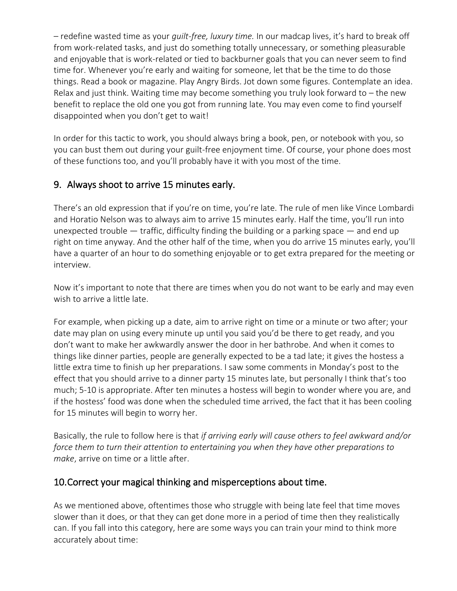– redefine wasted time as your *guilt-free, luxury time.* In our madcap lives, it's hard to break off from work-related tasks, and just do something totally unnecessary, or something pleasurable and enjoyable that is work-related or tied to backburner goals that you can never seem to find time for. Whenever you're early and waiting for someone, let that be the time to do those things. Read a book or magazine. Play Angry Birds. Jot down some figures. Contemplate an idea. Relax and just think. Waiting time may become something you truly look forward to – the new benefit to replace the old one you got from running late. You may even come to find yourself disappointed when you don't get to wait!

In order for this tactic to work, you should always bring a book, pen, or notebook with you, so you can bust them out during your guilt-free enjoyment time. Of course, your phone does most of these functions too, and you'll probably have it with you most of the time.

#### 9. Always shoot to arrive 15 minutes early.

There's an old expression that if you're on time, you're late. The rule of men like Vince Lombardi and Horatio Nelson was to always aim to arrive 15 minutes early. Half the time, you'll run into unexpected trouble  $-$  traffic, difficulty finding the building or a parking space  $-$  and end up right on time anyway. And the other half of the time, when you do arrive 15 minutes early, you'll have a quarter of an hour to do something enjoyable or to get extra prepared for the meeting or interview.

Now it's important to note that there are times when you do not want to be early and may even wish to arrive a little late.

For example, when picking up a date, aim to arrive right on time or a minute or two after; your date may plan on using every minute up until you said you'd be there to get ready, and you don't want to make her awkwardly answer the door in her bathrobe. And when it comes to things like dinner parties, people are generally expected to be a tad late; it gives the hostess a little extra time to finish up her preparations. I saw some comments in [Monday'](https://www.artofmanliness.com/articles/importance-of-punctuality/)s post to the effect that you should arrive to a dinner party 15 minutes late, but personally I think that's too much; 5-10 is appropriate. After ten minutes a hostess will begin to wonder where you are, and if the hostess' food was done when the scheduled time arrived, the fact that it has been cooling for 15 minutes will begin to worry her.

Basically, the rule to follow here is that *if arriving early will cause others to feel awkward and/or force them to turn their attention to entertaining you when they have other preparations to make*, arrive on time or a little after.

#### 10.Correct your magical thinking and misperceptions about time.

As we mentioned above, oftentimes those who struggle with being late feel that time moves slower than it does, or that they can get done more in a period of time then they realistically can. If you fall into this category, here are some ways you can train your mind to think more accurately about time: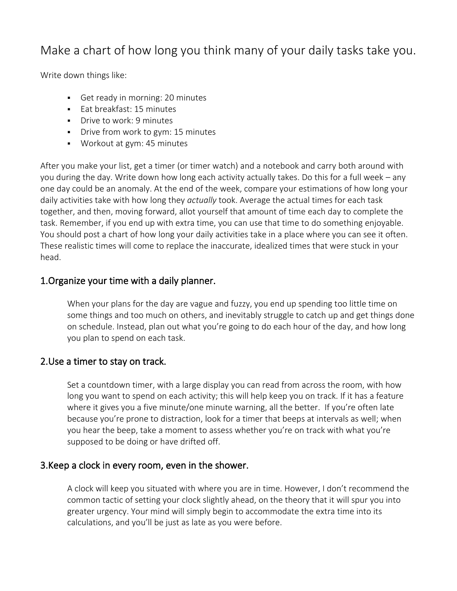## Make a chart of how long you think many of your daily tasks take you.

Write down things like:

- Get ready in morning: 20 minutes
- Eat breakfast: 15 minutes
- **•** Drive to work: 9 minutes
- **•** Drive from work to gym: 15 minutes
- Workout at gym: 45 minutes

After you make your list, get a timer (or timer watch) and a notebook and carry both around with you during the day. Write down how long each activity actually takes. Do this for a full week – any one day could be an anomaly. At the end of the week, compare your estimations of how long your daily activities take with how long they *actually* took. Average the actual times for each task together, and then, moving forward, allot yourself that amount of time each day to complete the task. Remember, if you end up with extra time, you can use that time to do something enjoyable. You should post a chart of how long your daily activities take in a place where you can see it often. These realistic times will come to replace the inaccurate, idealized times that were stuck in your head.

#### 1.Organize your time with a daily planner.

When your plans for the day are vague and fuzzy, you end up spending too little time on some things and too much on others, and inevitably struggle to catch up and get things done on schedule. Instead, plan out what you're going to do each hour of the day, and how long you plan to spend on each task.

#### 2.Use a timer to stay on track.

Set [a countdown timer, with a large display](https://www.amazon.com/CDN-TM15t-Design-TM15-Extra/dp/B0000W4MYI/ref=pd_sim_sbs_indust_1) you can read from across the room, with how long you want to spend on each activity; this will help keep you on track. If it has a feature where it gives you a five minute/one minute warning, all the better. If you're often late because you're prone to distraction, look for [a timer that beeps at intervals as well;](https://www.amazon.com/gp/product/B001EUB6OE/ref=as_li_ss_tl?ie=UTF8&tag=stucosuccess-20&linkCode=as2&camp=1789&creative=390957&creativeASIN=B001EUB6OE) when you hear the beep, take a moment to assess whether you're on track with what you're supposed to be doing or have drifted off.

#### 3.Keep a clock in every room, even in the shower.

A clock will keep you situated with where you are in time. However, I don't recommend the common tactic of setting your clock slightly ahead, on the theory that it will spur you into greater urgency. Your mind will simply begin to accommodate the extra time into its calculations, and you'll be just as late as you were before.